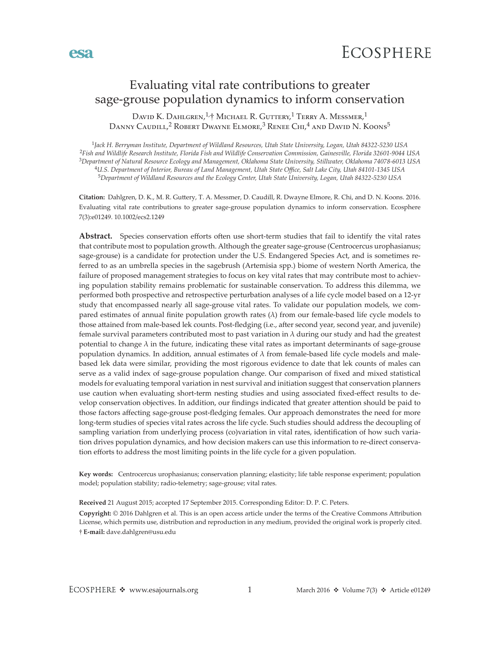

# Evaluating vital rate contributions to greater sage-grouse population dynamics to inform conservation

DAVID K. DAHLGREN,<sup>1,†</sup> MICHAEL R. GUTTERY,<sup>1</sup> TERRY A. MESSMER,<sup>1</sup> Danny Caudill,<sup>2</sup> Robert Dwayne Elmore,<sup>3</sup> Renee Chi,<sup>4</sup> and David N. Koons<sup>5</sup>

*Jack H. Berryman Institute, Department of Wildland Resources, Utah State University, Logan, Utah 84322-5230 USA Fish and Wildlife Research Institute, Florida Fish and Wildlife Conservation Commission, Gainesville, Florida 32601-9044 USA Department of Natural Resource Ecology and Management, Oklahoma State University, Stillwater, Oklahoma 74078-6013 USA U.S. Department of Interior, Bureau of Land Management, Utah State Office, Salt Lake City, Utah 84101-1345 USA Department of Wildland Resources and the Ecology Center, Utah State University, Logan, Utah 84322-5230 USA*

**Citation:** Dahlgren, D. K., M. R. Guttery, T. A. Messmer, D. Caudill, R. Dwayne Elmore, R. Chi, and D. N. Koons. 2016. Evaluating vital rate contributions to greater sage-grouse population dynamics to inform conservation. Ecosphere 7(3):e01249. 10.1002/ecs2.1249

**Abstract.** Species conservation efforts often use short-term studies that fail to identify the vital rates that contribute most to population growth. Although the greater sage-grouse (Centrocercus urophasianus; sage-grouse) is a candidate for protection under the U.S. Endangered Species Act, and is sometimes referred to as an umbrella species in the sagebrush (Artemisia spp.) biome of western North America, the failure of proposed management strategies to focus on key vital rates that may contribute most to achieving population stability remains problematic for sustainable conservation. To address this dilemma, we performed both prospective and retrospective perturbation analyses of a life cycle model based on a 12-yr study that encompassed nearly all sage-grouse vital rates. To validate our population models, we compared estimates of annual finite population growth rates  $(\lambda)$  from our female-based life cycle models to those attained from male-based lek counts. Post-fledging (i.e., after second year, second year, and juvenile) female survival parameters contributed most to past variation in  $\lambda$  during our study and had the greatest potential to change  $\lambda$  in the future, indicating these vital rates as important determinants of sage-grouse population dynamics. In addition, annual estimates of  $\lambda$  from female-based life cycle models and malebased lek data were similar, providing the most rigorous evidence to date that lek counts of males can serve as a valid index of sage-grouse population change. Our comparison of fixed and mixed statistical models for evaluating temporal variation in nest survival and initiation suggest that conservation planners use caution when evaluating short-term nesting studies and using associated fixed-effect results to develop conservation objectives. In addition, our findings indicated that greater attention should be paid to those factors affecting sage-grouse post-fledging females. Our approach demonstrates the need for more long-term studies of species vital rates across the life cycle. Such studies should address the decoupling of sampling variation from underlying process (co)variation in vital rates, identification of how such variation drives population dynamics, and how decision makers can use this information to re-direct conservation efforts to address the most limiting points in the life cycle for a given population.

**Key words:** Centrocercus urophasianus; conservation planning; elasticity; life table response experiment; population model; population stability; radio-telemetry; sage-grouse; vital rates.

**Received** 21 August 2015; accepted 17 September 2015. Corresponding Editor: D. P. C. Peters.

† **E-mail:** [dave.dahlgren@usu.edu](mailto:dave.dahlgren@usu.edu) **Copyright:** © 2016 Dahlgren et al. This is an open access article under the terms of the [Creative Commons Attribution](http://creativecommons.org/licenses/by/3.0/)  License, which permits use, distribution and reproduction in any medium, provided the original work is properly cited.

**esa**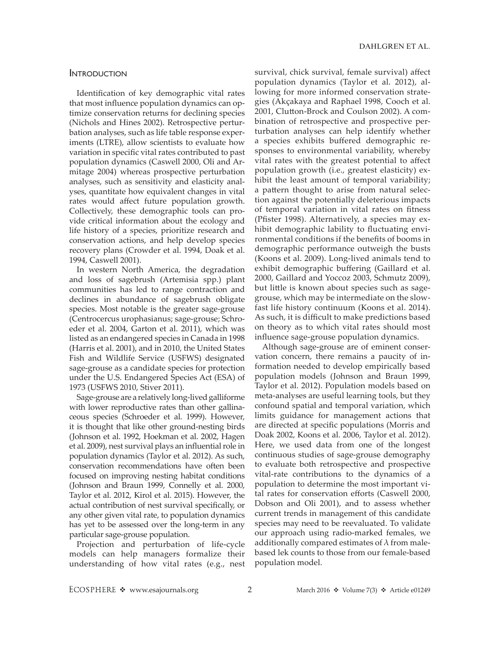# Introduction

Identification of key demographic vital rates that most influence population dynamics can optimize conservation returns for declining species (Nichols and Hines 2002). Retrospective perturbation analyses, such as life table response experiments (LTRE), allow scientists to evaluate how variation in specific vital rates contributed to past population dynamics (Caswell 2000, Oli and Armitage 2004) whereas prospective perturbation analyses, such as sensitivity and elasticity analyses, quantitate how equivalent changes in vital rates would affect future population growth. Collectively, these demographic tools can provide critical information about the ecology and life history of a species, prioritize research and conservation actions, and help develop species recovery plans (Crowder et al. 1994, Doak et al. 1994, Caswell 2001).

In western North America, the degradation and loss of sagebrush (Artemisia spp.) plant communities has led to range contraction and declines in abundance of sagebrush obligate species. Most notable is the greater sage-grouse (Centrocercus urophasianus; sage-grouse; Schroeder et al. 2004, Garton et al. 2011), which was listed as an endangered species in Canada in 1998 (Harris et al. 2001), and in 2010, the United States Fish and Wildlife Service (USFWS) designated sage-grouse as a candidate species for protection under the U.S. Endangered Species Act (ESA) of 1973 (USFWS 2010, Stiver 2011).

Sage-grouse are a relatively long-lived galliforme with lower reproductive rates than other gallinaceous species (Schroeder et al. 1999). However, it is thought that like other ground-nesting birds (Johnson et al. 1992, Hoekman et al. 2002, Hagen et al. 2009), nest survival plays an influential role in population dynamics (Taylor et al. 2012). As such, conservation recommendations have often been focused on improving nesting habitat conditions (Johnson and Braun 1999, Connelly et al. 2000, Taylor et al. 2012, Kirol et al. 2015). However, the actual contribution of nest survival specifically, or any other given vital rate, to population dynamics has yet to be assessed over the long-term in any particular sage-grouse population.

Projection and perturbation of life-cycle models can help managers formalize their understanding of how vital rates (e.g., nest

survival, chick survival, female survival) affect population dynamics (Taylor et al. 2012), allowing for more informed conservation strategies (Akçakaya and Raphael 1998, Cooch et al. 2001, Clutton-Brock and Coulson 2002). A combination of retrospective and prospective perturbation analyses can help identify whether a species exhibits buffered demographic responses to environmental variability, whereby vital rates with the greatest potential to affect population growth (i.e., greatest elasticity) exhibit the least amount of temporal variability; a pattern thought to arise from natural selection against the potentially deleterious impacts of temporal variation in vital rates on fitness (Pfister 1998). Alternatively, a species may exhibit demographic lability to fluctuating environmental conditions if the benefits of booms in demographic performance outweigh the busts (Koons et al. 2009). Long-lived animals tend to exhibit demographic buffering (Gaillard et al. 2000, Gaillard and Yoccoz 2003, Schmutz 2009), but little is known about species such as sagegrouse, which may be intermediate on the slowfast life history continuum (Koons et al. 2014). As such, it is difficult to make predictions based on theory as to which vital rates should most influence sage-grouse population dynamics.

Although sage-grouse are of eminent conservation concern, there remains a paucity of information needed to develop empirically based population models (Johnson and Braun 1999, Taylor et al. 2012). Population models based on meta-analyses are useful learning tools, but they confound spatial and temporal variation, which limits guidance for management actions that are directed at specific populations (Morris and Doak 2002, Koons et al. 2006, Taylor et al. 2012). Here, we used data from one of the longest continuous studies of sage-grouse demography to evaluate both retrospective and prospective vital-rate contributions to the dynamics of a population to determine the most important vital rates for conservation efforts (Caswell 2000, Dobson and Oli 2001), and to assess whether current trends in management of this candidate species may need to be reevaluated. To validate our approach using radio-marked females, we additionally compared estimates of  $\lambda$  from malebased lek counts to those from our female-based population model.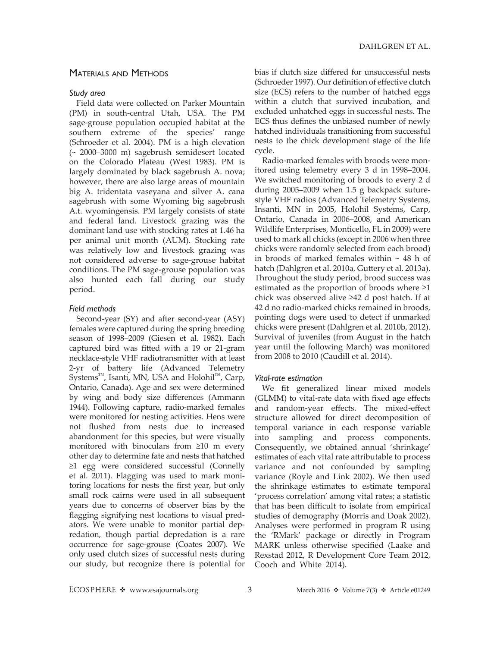# Materials and Methods

## *Study area*

Field data were collected on Parker Mountain (PM) in south-central Utah, USA. The PM sage-grouse population occupied habitat at the southern extreme of the species' range (Schroeder et al. 2004). PM is a high elevation (~ 2000–3000 m) sagebrush semidesert located on the Colorado Plateau (West 1983). PM is largely dominated by black sagebrush A. nova; however, there are also large areas of mountain big A. tridentata vaseyana and silver A. cana sagebrush with some Wyoming big sagebrush A.t. wyomingensis. PM largely consists of state and federal land. Livestock grazing was the dominant land use with stocking rates at 1.46 ha per animal unit month (AUM). Stocking rate was relatively low and livestock grazing was not considered adverse to sage-grouse habitat conditions. The PM sage-grouse population was also hunted each fall during our study period.

## *Field methods*

Second-year (SY) and after second-year (ASY) females were captured during the spring breeding season of 1998–2009 (Giesen et al. 1982). Each captured bird was fitted with a 19 or 21-gram necklace-style VHF radiotransmitter with at least 2-yr of battery life (Advanced Telemetry Systems<sup>™</sup>, Isanti, MN, USA and Holohil<sup>™</sup>, Carp, Ontario, Canada). Age and sex were determined by wing and body size differences (Ammann 1944). Following capture, radio-marked females were monitored for nesting activities. Hens were not flushed from nests due to increased abandonment for this species, but were visually monitored with binoculars from ≥10 m every other day to determine fate and nests that hatched ≥1 egg were considered successful (Connelly et al. 2011). Flagging was used to mark monitoring locations for nests the first year, but only small rock cairns were used in all subsequent years due to concerns of observer bias by the flagging signifying nest locations to visual predators. We were unable to monitor partial depredation, though partial depredation is a rare occurrence for sage-grouse (Coates 2007). We only used clutch sizes of successful nests during our study, but recognize there is potential for bias if clutch size differed for unsuccessful nests (Schroeder 1997). Our definition of effective clutch size (ECS) refers to the number of hatched eggs within a clutch that survived incubation, and excluded unhatched eggs in successful nests. The ECS thus defines the unbiased number of newly hatched individuals transitioning from successful nests to the chick development stage of the life cycle.

Radio-marked females with broods were monitored using telemetry every 3 d in 1998–2004. We switched monitoring of broods to every 2 d during 2005–2009 when 1.5 g backpack suturestyle VHF radios (Advanced Telemetry Systems, Insanti, MN in 2005, Holohil Systems, Carp, Ontario, Canada in 2006–2008, and American Wildlife Enterprises, Monticello, FL in 2009) were used to mark all chicks (except in 2006 when three chicks were randomly selected from each brood) in broods of marked females within  $\sim$  48 h of hatch (Dahlgren et al. 2010a, Guttery et al. 2013a). Throughout the study period, brood success was estimated as the proportion of broods where ≥1 chick was observed alive ≥42 d post hatch. If at 42 d no radio-marked chicks remained in broods, pointing dogs were used to detect if unmarked chicks were present (Dahlgren et al. 2010b, 2012). Survival of juveniles (from August in the hatch year until the following March) was monitored from 2008 to 2010 (Caudill et al. 2014).

#### *Vital-rate estimation*

We fit generalized linear mixed models (GLMM) to vital-rate data with fixed age effects and random-year effects. The mixed-effect structure allowed for direct decomposition of temporal variance in each response variable into sampling and process components. Consequently, we obtained annual 'shrinkage' estimates of each vital rate attributable to process variance and not confounded by sampling variance (Royle and Link 2002). We then used the shrinkage estimates to estimate temporal 'process correlation' among vital rates; a statistic that has been difficult to isolate from empirical studies of demography (Morris and Doak 2002). Analyses were performed in program R using the 'RMark' package or directly in Program MARK unless otherwise specified (Laake and Rexstad 2012, R Development Core Team 2012, Cooch and White 2014).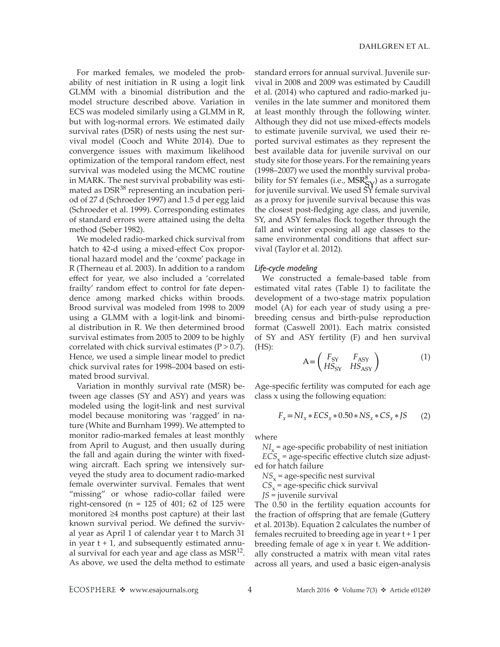For marked females, we modeled the probability of nest initiation in R using a logit link GLMM with a binomial distribution and the model structure described above. Variation in ECS was modeled similarly using a GLMM in R, but with log-normal errors. We estimated daily survival rates (DSR) of nests using the nest survival model (Cooch and White 2014). Due to convergence issues with maximum likelihood optimization of the temporal random effect, nest survival was modeled using the MCMC routine in MARK. The nest survival probability was estimated as DSR<sup>38</sup> representing an incubation period of 27 d (Schroeder 1997) and 1.5 d per egg laid (Schroeder et al. 1999). Corresponding estimates of standard errors were attained using the delta method (Seber 1982).

We modeled radio-marked chick survival from hatch to 42-d using a mixed-effect Cox proportional hazard model and the 'coxme' package in R (Therneau et al. 2003). In addition to a random effect for year, we also included a 'correlated frailty' random effect to control for fate dependence among marked chicks within broods. Brood survival was modeled from 1998 to 2009 using a GLMM with a logit-link and binomial distribution in R. We then determined brood survival estimates from 2005 to 2009 to be highly correlated with chick survival estimates ( $P > 0.7$ ). Hence, we used a simple linear model to predict chick survival rates for 1998–2004 based on estimated brood survival.

Variation in monthly survival rate (MSR) between age classes (SY and ASY) and years was modeled using the logit-link and nest survival model because monitoring was 'ragged' in nature (White and Burnham 1999). We attempted to monitor radio-marked females at least monthly from April to August, and then usually during the fall and again during the winter with fixedwing aircraft. Each spring we intensively surveyed the study area to document radio-marked female overwinter survival. Females that went "missing" or whose radio-collar failed were right-censored ( $n = 125$  of 401; 62 of 125 were monitored ≥4 months post capture) at their last known survival period. We defined the survival year as April 1 of calendar year t to March 31 in year  $t + 1$ , and subsequently estimated annual survival for each year and age class as  $MSR<sup>12</sup>$ . As above, we used the delta method to estimate

standard errors for annual survival. Juvenile survival in 2008 and 2009 was estimated by Caudill et al. (2014) who captured and radio-marked juveniles in the late summer and monitored them at least monthly through the following winter. Although they did not use mixed-effects models to estimate juvenile survival, we used their reported survival estimates as they represent the best available data for juvenile survival on our study site for those years. For the remaining years (1998–2007) we used the monthly survival probability for SY females (i.e.,  $MSR_S^8$ ) as a surrogate for juvenile survival. We used SY female survival as a proxy for juvenile survival because this was the closest post-fledging age class, and juvenile, SY, and ASY females flock together through the fall and winter exposing all age classes to the same environmental conditions that affect survival (Taylor et al. 2012).

#### *Life-cycle modeling*

We constructed a female-based table from estimated vital rates (Table 1) to facilitate the development of a two-stage matrix population model (A) for each year of study using a prebreeding census and birth-pulse reproduction format (Caswell 2001). Each matrix consisted of SY and ASY fertility (F) and hen survival  $(HS)$ :

$$
A = \begin{pmatrix} F_{SY} & F_{ASY} \\ HS_{SY} & HS_{ASY} \end{pmatrix}
$$
 (1)

Age-specific fertility was computed for each age class x using the following equation:

$$
F_x = NI_x * ECS_x * 0.50 * NS_x * CS_x * JS
$$
 (2)

where

 $NI_x$  = age-specific probability of nest initiation  $\angle ECS_x$  = age-specific effective clutch size adjusted for hatch failure

 $NS<sub>x</sub>$  = age-specific nest survival

 $CS<sub>x</sub>$  = age-specific chick survival

*JS* = juvenile survival

The 0.50 in the fertility equation accounts for the fraction of offspring that are female (Guttery et al. 2013b). Equation 2 calculates the number of females recruited to breeding age in year t + 1 per breeding female of age x in year t. We additionally constructed a matrix with mean vital rates across all years, and used a basic eigen-analysis

ECOSPHERE  $\triangleleft$  www.esajournals.org 4 March 2016  $\triangleleft$  Volume 7(3)  $\triangleleft$  Article e01249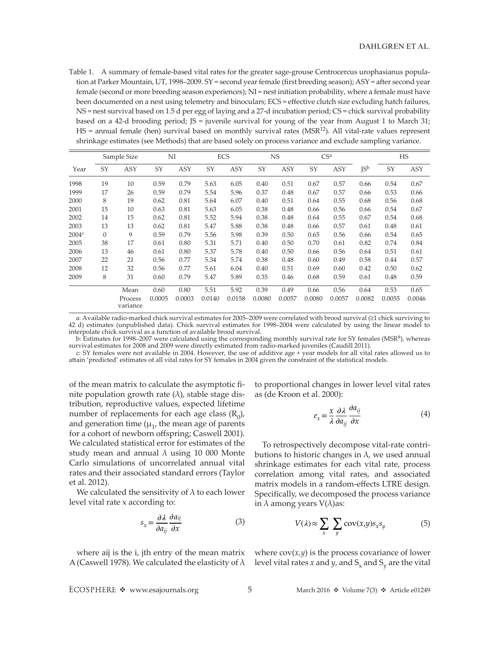Table 1. A summary of female-based vital rates for the greater sage-grouse Centrocercus urophasianus population at Parker Mountain, UT, 1998–2009. SY = second year female (first breeding season); ASY = after second year female (second or more breeding season experiences); NI = nest initiation probability, where a female must have been documented on a nest using telemetry and binoculars; ECS = effective clutch size excluding hatch failures, NS = nest survival based on 1.5 d per egg of laying and a 27-d incubation period; CS = chick survival probability based on a 42-d brooding period; JS = juvenile survival for young of the year from August 1 to March 31; HS = annual female (hen) survival based on monthly survival rates (MSR<sup>12</sup>). All vital-rate values represent shrinkage estimates (see Methods) that are based solely on process variance and exclude sampling variance.

|                   | Sample Size |                     | NI     |            | <b>ECS</b> |            | <b>NS</b> |            | CS <sup>a</sup> |            |        | HS     |            |
|-------------------|-------------|---------------------|--------|------------|------------|------------|-----------|------------|-----------------|------------|--------|--------|------------|
| Year              | SY          | <b>ASY</b>          | SY     | <b>ASY</b> | SY         | <b>ASY</b> | SY        | <b>ASY</b> | SY              | <b>ASY</b> | JSb    | SY     | <b>ASY</b> |
| 1998              | 19          | 10                  | 0.59   | 0.79       | 5.63       | 6.05       | 0.40      | 0.51       | 0.67            | 0.57       | 0.66   | 0.54   | 0.67       |
| 1999              | 17          | 26                  | 0.59   | 0.79       | 5.54       | 5.96       | 0.37      | 0.48       | 0.67            | 0.57       | 0.66   | 0.53   | 0.66       |
| 2000              | 8           | 19                  | 0.62   | 0.81       | 5.64       | 6.07       | 0.40      | 0.51       | 0.64            | 0.55       | 0.68   | 0.56   | 0.68       |
| 2001              | 15          | 10                  | 0.63   | 0.81       | 5.63       | 6.05       | 0.38      | 0.48       | 0.66            | 0.56       | 0.66   | 0.54   | 0.67       |
| 2002              | 14          | 15                  | 0.62   | 0.81       | 5.52       | 5.94       | 0.38      | 0.48       | 0.64            | 0.55       | 0.67   | 0.54   | 0.68       |
| 2003              | 13          | 13                  | 0.62   | 0.81       | 5.47       | 5.88       | 0.38      | 0.48       | 0.66            | 0.57       | 0.61   | 0.48   | 0.61       |
| 2004 <sup>c</sup> | $\theta$    | 9                   | 0.59   | 0.79       | 5.56       | 5.98       | 0.39      | 0.50       | 0.65            | 0.56       | 0.66   | 0.54   | 0.65       |
| 2005              | 38          | 17                  | 0.61   | 0.80       | 5.31       | 5.71       | 0.40      | 0.50       | 0.70            | 0.61       | 0.82   | 0.74   | 0.84       |
| 2006              | 13          | 46                  | 0.61   | 0.80       | 5.37       | 5.78       | 0.40      | 0.50       | 0.66            | 0.56       | 0.64   | 0.51   | 0.61       |
| 2007              | 22          | 21                  | 0.56   | 0.77       | 5.34       | 5.74       | 0.38      | 0.48       | 0.60            | 0.49       | 0.58   | 0.44   | 0.57       |
| 2008              | 12          | 32                  | 0.56   | 0.77       | 5.61       | 6.04       | 0.40      | 0.51       | 0.69            | 0.60       | 0.42   | 0.50   | 0.62       |
| 2009              | 8           | 31                  | 0.60   | 0.79       | 5.47       | 5.89       | 0.35      | 0.46       | 0.68            | 0.59       | 0.61   | 0.48   | 0.59       |
|                   |             | Mean                | 0.60   | 0.80       | 5.51       | 5.92       | 0.39      | 0.49       | 0.66            | 0.56       | 0.64   | 0.53   | 0.65       |
|                   |             | Process<br>variance | 0.0005 | 0.0003     | 0.0140     | 0.0158     | 0.0080    | 0.0057     | 0.0080          | 0.0057     | 0.0082 | 0.0055 | 0.0046     |

a: Available radio-marked chick survival estimates for 2005–2009 were correlated with brood survival (≥1 chick surviving to 42 d) estimates (unpublished data). Chick survival estimates for 1998–2004 were calculated by using the linear model to interpolate chick survival as a function of available brood survival.

b: Estimates for 1998–2007 were calculated using the corresponding monthly survival rate for SY females (MSR<sup>8</sup>), whereas survival estimates for 2008 and 2009 were directly estimated from radio-marked juveniles (Caudill 2011).

c: SY females were not available in 2004. However, the use of additive age + year models for all vital rates allowed us to attain 'predicted' estimates of all vital rates for SY females in 2004 given the constraint of the statistical models.

of the mean matrix to calculate the asymptotic finite population growth rate  $(λ)$ , stable stage distribution, reproductive values, expected lifetime number of replacements for each age class  $(R_0)$ , and generation time  $(\mu_1)$ , the mean age of parents for a cohort of newborn offspring; Caswell 2001). We calculated statistical error for estimates of the study mean and annual  $\lambda$  using 10 000 Monte Carlo simulations of uncorrelated annual vital rates and their associated standard errors (Taylor et al. 2012).

We calculated the sensitivity of  $\lambda$  to each lower level vital rate x according to:

$$
s_x = \frac{\partial \lambda}{\partial a_{ij}} \frac{\partial a_{ij}}{\partial x} \tag{3}
$$

where aij is the i, jth entry of the mean matrix

to proportional changes in lower level vital rates as (de Kroon et al. 2000):

$$
e_x = \frac{x}{\lambda} \frac{\partial \lambda}{\partial a_{ij}} \frac{\partial a_{ij}}{\partial x}
$$
 (4)

To retrospectively decompose vital-rate contributions to historic changes in  $\lambda$ , we used annual shrinkage estimates for each vital rate, process correlation among vital rates, and associated matrix models in a random-effects LTRE design. Specifically, we decomposed the process variance in  $\lambda$  among years  $V(\lambda)$ as:

$$
V(\lambda) \approx \sum_{x} \sum_{y} \text{cov}(x, y) s_x s_y \tag{5}
$$

A (Caswell 1978). We calculated the elasticity of  $\lambda$  level vital rates *x* and *y*, and S<sub>x</sub> and S<sub>y</sub> are the vital where  $cov(x, y)$  is the process covariance of lower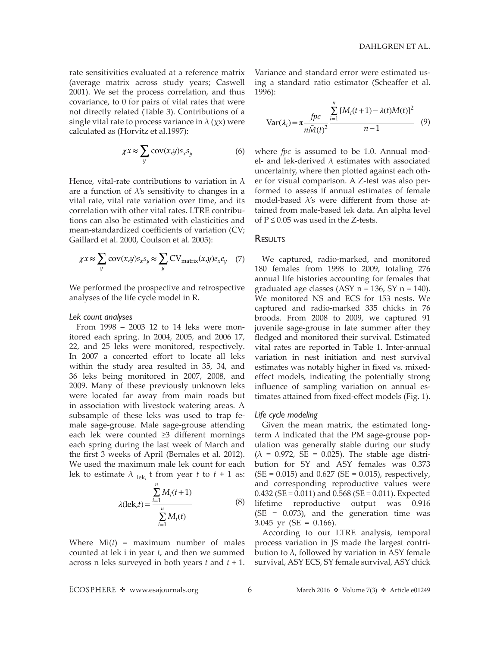rate sensitivities evaluated at a reference matrix (average matrix across study years; Caswell 2001). We set the process correlation, and thus covariance, to 0 for pairs of vital rates that were not directly related (Table 3). Contributions of a single vital rate to process variance in  $\lambda$  ( $\chi$ x) were calculated as (Horvitz et al.1997):

$$
\chi x \approx \sum_{y} \text{cov}(x, y) s_x s_y \tag{6}
$$

Hence, vital-rate contributions to variation in  $\lambda$ are a function of  $\lambda$ 's sensitivity to changes in a vital rate, vital rate variation over time, and its correlation with other vital rates. LTRE contributions can also be estimated with elasticities and mean-standardized coefficients of variation (CV; Gaillard et al. 2000, Coulson et al. 2005):

$$
\chi x \approx \sum_{y} \text{cov}(x, y) s_x s_y \approx \sum_{y} \text{CV}_{\text{matrix}}(x, y) e_x e_y \quad (7)
$$

We performed the prospective and retrospective analyses of the life cycle model in R.

#### *Lek count analyses*

From 1998 – 2003 12 to 14 leks were monitored each spring. In 2004, 2005, and 2006 17, 22, and 25 leks were monitored, respectively. In 2007 a concerted effort to locate all leks within the study area resulted in 35, 34, and 36 leks being monitored in 2007, 2008, and 2009. Many of these previously unknown leks were located far away from main roads but in association with livestock watering areas. A subsample of these leks was used to trap female sage-grouse. Male sage-grouse attending each lek were counted ≥3 different mornings each spring during the last week of March and the first 3 weeks of April (Bernales et al. 2012). We used the maximum male lek count for each lek to estimate  $\lambda$  <sub>lek,</sub> t from year *t* to *t* + 1 as:

$$
\lambda(\text{lek}, t) = \frac{\sum_{i=1}^{n} M_i(t+1)}{\sum_{i=1}^{n} M_i(t)}
$$
(8)

Where Mi(*t*) = maximum number of males counted at lek i in year *t*, and then we summed across n leks surveyed in both years *t* and *t* + 1.

Variance and standard error were estimated using a standard ratio estimator (Scheaffer et al. 1996):

$$
Var(\lambda_t) = \pi \frac{fpc}{n\bar{M}(t)^2} \frac{\sum_{i=1}^{n} [M_i(t+1) - \lambda(t)M(t)]^2}{n-1}
$$
 (9)

where *fpc* is assumed to be 1.0. Annual model- and lek-derived  $\lambda$  estimates with associated uncertainty, where then plotted against each other for visual comparison. A Z-test was also performed to assess if annual estimates of female model-based  $\lambda$ 's were different from those attained from male-based lek data. An alpha level of  $P \le 0.05$  was used in the Z-tests.

# **RESULTS**

We captured, radio-marked, and monitored 180 females from 1998 to 2009, totaling 276 annual life histories accounting for females that graduated age classes  $(ASY n = 136, SY n = 140)$ . We monitored NS and ECS for 153 nests. We captured and radio-marked 335 chicks in 76 broods. From 2008 to 2009, we captured 91 juvenile sage-grouse in late summer after they fledged and monitored their survival. Estimated vital rates are reported in Table 1. Inter-annual variation in nest initiation and nest survival estimates was notably higher in fixed vs. mixedeffect models, indicating the potentially strong influence of sampling variation on annual estimates attained from fixed-effect models (Fig. 1).

#### *Life cycle modeling*

Given the mean matrix, the estimated longterm  $\lambda$  indicated that the PM sage-grouse population was generally stable during our study  $(\lambda = 0.972, SE = 0.025)$ . The stable age distribution for SY and ASY females was 0.373  $(SE = 0.015)$  and  $0.627$  (SE = 0.015), respectively, and corresponding reproductive values were  $0.432$  (SE =  $0.011$ ) and  $0.568$  (SE =  $0.011$ ). Expected lifetime reproductive output was 0.916 (SE = 0.073), and the generation time was 3.045 yr (SE = 0.166).

According to our LTRE analysis, temporal process variation in JS made the largest contribution to  $\lambda$ , followed by variation in ASY female survival, ASY ECS, SY female survival, ASY chick

ECOSPHERE  $\triangleleft$  www.esajournals.org 6 March 2016  $\triangleleft$  Volume 7(3)  $\triangleleft$  Article e01249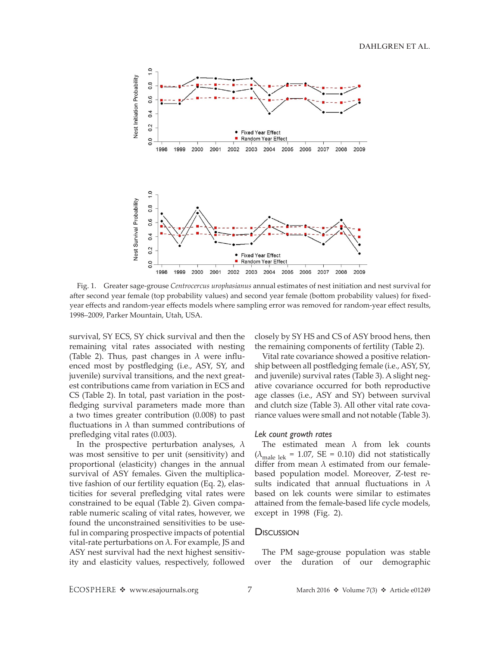

Fig. 1. Greater sage-grouse *Centrocercus urophasianus* annual estimates of nest initiation and nest survival for after second year female (top probability values) and second year female (bottom probability values) for fixedyear effects and random-year effects models where sampling error was removed for random-year effect results, 1998–2009, Parker Mountain, Utah, USA.

survival, SY ECS, SY chick survival and then the remaining vital rates associated with nesting (Table 2). Thus, past changes in  $\lambda$  were influenced most by postfledging (i.e., ASY, SY, and juvenile) survival transitions, and the next greatest contributions came from variation in ECS and CS (Table 2). In total, past variation in the postfledging survival parameters made more than a two times greater contribution (0.008) to past fluctuations in  $\lambda$  than summed contributions of prefledging vital rates (0.003).

In the prospective perturbation analyses,  $\lambda$ was most sensitive to per unit (sensitivity) and proportional (elasticity) changes in the annual survival of ASY females. Given the multiplicative fashion of our fertility equation (Eq. 2), elasticities for several prefledging vital rates were constrained to be equal (Table 2). Given comparable numeric scaling of vital rates, however, we found the unconstrained sensitivities to be useful in comparing prospective impacts of potential vital-rate perturbations on  $λ$ . For example, JS and ASY nest survival had the next highest sensitivity and elasticity values, respectively, followed closely by SY HS and CS of ASY brood hens, then the remaining components of fertility (Table 2).

Vital rate covariance showed a positive relationship between all postfledging female (i.e., ASY, SY, and juvenile) survival rates (Table 3). A slight negative covariance occurred for both reproductive age classes (i.e., ASY and SY) between survival and clutch size (Table 3). All other vital rate covariance values were small and not notable (Table 3).

#### *Lek count growth rates*

The estimated mean  $\lambda$  from lek counts ( $\lambda_{\text{male}}$  lek = 1.07, SE = 0.10) did not statistically differ from mean  $\lambda$  estimated from our femalebased population model. Moreover, Z-test results indicated that annual fluctuations in  $\lambda$ based on lek counts were similar to estimates attained from the female-based life cycle models, except in 1998 (Fig. 2).

#### **Discussion**

The PM sage-grouse population was stable over the duration of our demographic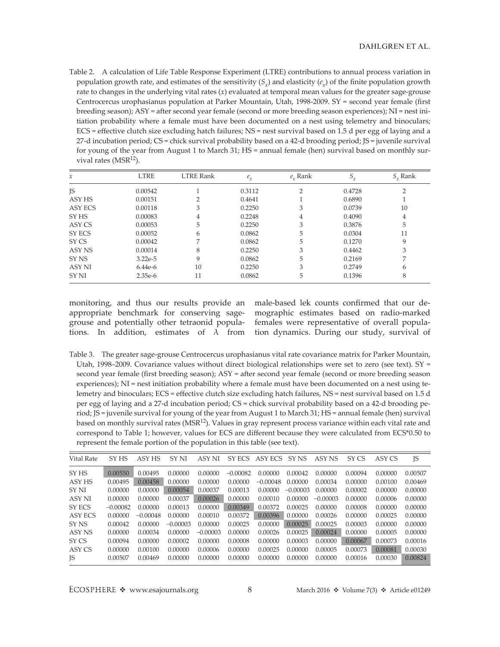Table 2. A calculation of Life Table Response Experiment (LTRE) contributions to annual process variation in population growth rate, and estimates of the sensitivity  $(S_x)$  and elasticity  $(e_x)$  of the finite population growth rate to changes in the underlying vital rates (*x*) evaluated at temporal mean values for the greater sage-grouse Centrocercus urophasianus population at Parker Mountain, Utah, 1998-2009. SY = second year female (first breeding season); ASY = after second year female (second or more breeding season experiences); NI = nest initiation probability where a female must have been documented on a nest using telemetry and binoculars; ECS = effective clutch size excluding hatch failures; NS = nest survival based on 1.5 d per egg of laying and a 27-d incubation period; CS = chick survival probability based on a 42-d brooding period; JS = juvenile survival for young of the year from August 1 to March 31; HS = annual female (hen) survival based on monthly survival rates ( $MSR<sup>12</sup>$ ).

| $\mathcal{X}$    | <b>LTRE</b> | <b>LTRE Rank</b> | $e_{\chi}$ | $e_r$ Rank    | $S_{x}$ | $S_{r}$ Rank |
|------------------|-------------|------------------|------------|---------------|---------|--------------|
| <b>JS</b>        | 0.00542     |                  | 0.3112     | $\mathcal{P}$ | 0.4728  | ∍            |
| ASY HS           | 0.00151     |                  | 0.4641     |               | 0.6890  |              |
| ASY ECS          | 0.00118     | 3                | 0.2250     | 3             | 0.0739  | 10           |
| SY HS            | 0.00083     | 4                | 0.2248     | 4             | 0.4090  | 4            |
| ASY CS           | 0.00053     | 5                | 0.2250     | 3             | 0.3876  | 5            |
| SY ECS           | 0.00052     | 6                | 0.0862     | 5             | 0.0304  | 11           |
| SY CS            | 0.00042     | $\overline{ }$   | 0.0862     | 5             | 0.1270  | 9            |
| ASY NS           | 0.00014     | 8                | 0.2250     | 3             | 0.4462  | 3            |
| SY <sub>NS</sub> | $3.22e-5$   | 9                | 0.0862     | 5             | 0.2169  | 7            |
| <b>ASY NI</b>    | $6.44e-6$   | 10               | 0.2250     | 3             | 0.2749  | 6            |
| SY NI            | $2.35e-6$   | 11               | 0.0862     | 5             | 0.1396  | 8            |

monitoring, and thus our results provide an appropriate benchmark for conserving sagegrouse and potentially other tetraonid populations. In addition, estimates of  $\lambda$  from male-based lek counts confirmed that our demographic estimates based on radio-marked females were representative of overall population dynamics. During our study, survival of

Table 3. The greater sage-grouse Centrocercus urophasianus vital rate covariance matrix for Parker Mountain, Utah, 1998–2009. Covariance values without direct biological relationships were set to zero (see text).  $SY =$ second year female (first breeding season); ASY = after second year female (second or more breeding season experiences); NI = nest initiation probability where a female must have been documented on a nest using telemetry and binoculars; ECS = effective clutch size excluding hatch failures, NS = nest survival based on 1.5 d per egg of laying and a 27-d incubation period; CS = chick survival probability based on a 42-d brooding period; JS = juvenile survival for young of the year from August 1 to March 31; HS = annual female (hen) survival based on monthly survival rates (MSR<sup>12</sup>). Values in gray represent process variance within each vital rate and correspond to Table 1; however, values for ECS are different because they were calculated from ECS\*0.50 to represent the female portion of the population in this table (see text).

| Vital Rate | SY <sub>HS</sub> | ASY HS     | SY NI      | ASY NI     | SY ECS     | ASY ECS    | SY NS      | ASY NS     | SY CS   | ASY CS  | <b>JS</b> |
|------------|------------------|------------|------------|------------|------------|------------|------------|------------|---------|---------|-----------|
| SY HS      | 0.00550          | 0.00495    | 0.00000    | 0.00000    | $-0.00082$ | 0.00000    | 0.00042    | 0.00000    | 0.00094 | 0.00000 | 0.00507   |
| ASY HS     | 0.00495          | 0.00458    | 0.00000    | 0.00000    | 0.00000    | $-0.00048$ | 0.00000    | 0.00034    | 0.00000 | 0.00100 | 0.00469   |
| SY NI      | 0.00000          | 0.00000    | 0.00054    | 0.00037    | 0.00013    | 0.00000    | $-0.00003$ | 0.00000    | 0.00002 | 0.00000 | 0.00000   |
| ASY NI     | 0.00000          | 0.00000    | 0.00037    | 0.00026    | 0.00000    | 0.00010    | 0.00000    | $-0.00003$ | 0.00000 | 0.00006 | 0.00000   |
| SY ECS     | $-0.00082$       | 0.00000    | 0.00013    | 0.00000    | 0.00349    | 0.00372    | 0.00025    | 0.00000    | 0.00008 | 0.00000 | 0.00000   |
| ASY ECS    | 0.00000          | $-0.00048$ | 0.00000    | 0.00010    | 0.00372    | 0.00396    | 0.00000    | 0.00026    | 0.00000 | 0.00025 | 0.00000   |
| SY NS      | 0.00042          | 0.00000    | $-0.00003$ | 0.00000    | 0.00025    | 0.00000    | 0.00025    | 0.00025    | 0.00003 | 0.00000 | 0.00000   |
| ASY NS     | 0.00000          | 0.00034    | 0.00000    | $-0.00003$ | 0.00000    | 0.00026    | 0.00025    | 0.00024    | 0.00000 | 0.00005 | 0.00000   |
| SY CS      | 0.00094          | 0.00000    | 0.00002    | 0.00000    | 0.00008    | 0.00000    | 0.00003    | 0.00000    | 0.00067 | 0.00073 | 0.00016   |
| ASY CS     | 0.00000          | 0.00100    | 0.00000    | 0.00006    | 0.00000    | 0.00025    | 0.00000    | 0.00005    | 0.00073 | 0.00081 | 0.00030   |
| <b>IS</b>  | 0.00507          | 0.00469    | 0.00000    | 0.00000    | 0.00000    | 0.00000    | 0.00000    | 0.00000    | 0.00016 | 0.00030 | 0.00824   |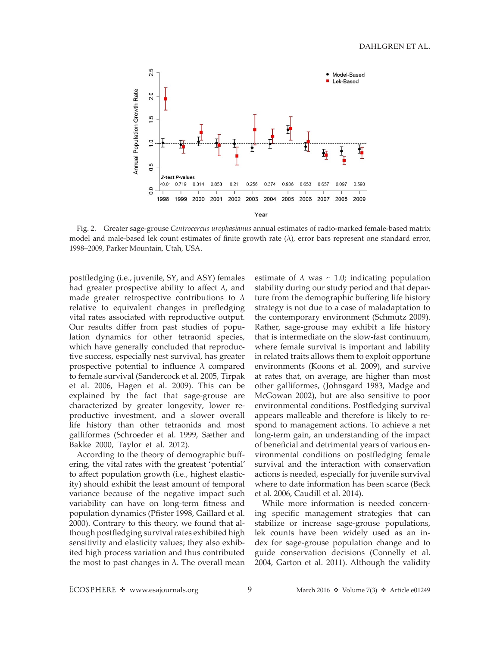

Fig. 2. Greater sage-grouse *Centrocercus urophasianus* annual estimates of radio-marked female-based matrix model and male-based lek count estimates of finite growth rate (λ), error bars represent one standard error, 1998–2009, Parker Mountain, Utah, USA.

postfledging (i.e., juvenile, SY, and ASY) females had greater prospective ability to affect  $\lambda$ , and made greater retrospective contributions to  $\lambda$ relative to equivalent changes in prefledging vital rates associated with reproductive output. Our results differ from past studies of population dynamics for other tetraonid species, which have generally concluded that reproductive success, especially nest survival, has greater prospective potential to influence  $\lambda$  compared to female survival (Sandercock et al. 2005, Tirpak et al. 2006, Hagen et al. 2009). This can be explained by the fact that sage-grouse are characterized by greater longevity, lower reproductive investment, and a slower overall life history than other tetraonids and most galliformes (Schroeder et al. 1999, Sæther and Bakke 2000, Taylor et al. 2012).

According to the theory of demographic buffering, the vital rates with the greatest 'potential' to affect population growth (i.e., highest elasticity) should exhibit the least amount of temporal variance because of the negative impact such variability can have on long-term fitness and population dynamics (Pfister 1998, Gaillard et al. 2000). Contrary to this theory, we found that although postfledging survival rates exhibited high sensitivity and elasticity values; they also exhibited high process variation and thus contributed the most to past changes in  $\lambda$ . The overall mean estimate of  $\lambda$  was  $\sim$  1.0; indicating population stability during our study period and that departure from the demographic buffering life history strategy is not due to a case of maladaptation to the contemporary environment (Schmutz 2009). Rather, sage-grouse may exhibit a life history that is intermediate on the slow-fast continuum, where female survival is important and lability in related traits allows them to exploit opportune environments (Koons et al. 2009), and survive at rates that, on average, are higher than most other galliformes, (Johnsgard 1983, Madge and McGowan 2002), but are also sensitive to poor environmental conditions. Postfledging survival appears malleable and therefore is likely to respond to management actions. To achieve a net long-term gain, an understanding of the impact of beneficial and detrimental years of various environmental conditions on postfledging female survival and the interaction with conservation actions is needed, especially for juvenile survival where to date information has been scarce (Beck et al. 2006, Caudill et al. 2014).

While more information is needed concerning specific management strategies that can stabilize or increase sage-grouse populations, lek counts have been widely used as an index for sage-grouse population change and to guide conservation decisions (Connelly et al. 2004, Garton et al. 2011). Although the validity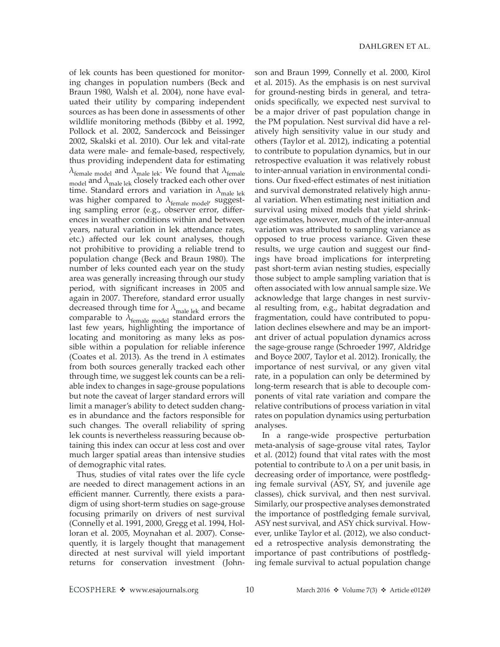of lek counts has been questioned for monitoring changes in population numbers (Beck and Braun 1980, Walsh et al. 2004), none have evaluated their utility by comparing independent sources as has been done in assessments of other wildlife monitoring methods (Bibby et al. 1992, Pollock et al. 2002, Sandercock and Beissinger 2002, Skalski et al. 2010). Our lek and vital-rate data were male- and female-based, respectively, thus providing independent data for estimating  $\lambda_{\text{female model}}$  and  $\lambda_{\text{male}}$  lek. We found that  $\lambda_{\text{female}}$  $_{\text{model}}$  and  $\lambda_{\text{male}}$  lek closely tracked each other over time. Standard errors and variation in  $\lambda_{\text{male}}$  lek was higher compared to  $\lambda_{\text{female model}}$ , suggesting sampling error (e.g., observer error, differences in weather conditions within and between years, natural variation in lek attendance rates, etc.) affected our lek count analyses, though not prohibitive to providing a reliable trend to population change (Beck and Braun 1980). The number of leks counted each year on the study area was generally increasing through our study period, with significant increases in 2005 and again in 2007. Therefore, standard error usually decreased through time for  $\lambda_{\text{male} \text{ lek}}$  and became comparable to  $\lambda_{\text{female model}}$  standard errors the last few years, highlighting the importance of locating and monitoring as many leks as possible within a population for reliable inference (Coates et al. 2013). As the trend in  $\lambda$  estimates from both sources generally tracked each other through time, we suggest lek counts can be a reliable index to changes in sage-grouse populations but note the caveat of larger standard errors will limit a manager's ability to detect sudden changes in abundance and the factors responsible for such changes. The overall reliability of spring lek counts is nevertheless reassuring because obtaining this index can occur at less cost and over much larger spatial areas than intensive studies of demographic vital rates.

Thus, studies of vital rates over the life cycle are needed to direct management actions in an efficient manner. Currently, there exists a paradigm of using short-term studies on sage-grouse focusing primarily on drivers of nest survival (Connelly et al. 1991, 2000, Gregg et al. 1994, Holloran et al. 2005, Moynahan et al. 2007). Consequently, it is largely thought that management directed at nest survival will yield important returns for conservation investment (John-

son and Braun 1999, Connelly et al. 2000, Kirol et al. 2015). As the emphasis is on nest survival for ground-nesting birds in general, and tetraonids specifically, we expected nest survival to be a major driver of past population change in the PM population. Nest survival did have a relatively high sensitivity value in our study and others (Taylor et al. 2012), indicating a potential to contribute to population dynamics, but in our retrospective evaluation it was relatively robust to inter-annual variation in environmental conditions. Our fixed-effect estimates of nest initiation and survival demonstrated relatively high annual variation. When estimating nest initiation and survival using mixed models that yield shrinkage estimates, however, much of the inter-annual variation was attributed to sampling variance as opposed to true process variance. Given these results, we urge caution and suggest our findings have broad implications for interpreting past short-term avian nesting studies, especially those subject to ample sampling variation that is often associated with low annual sample size. We acknowledge that large changes in nest survival resulting from, e.g., habitat degradation and fragmentation, could have contributed to population declines elsewhere and may be an important driver of actual population dynamics across the sage-grouse range (Schroeder 1997, Aldridge and Boyce 2007, Taylor et al. 2012). Ironically, the importance of nest survival, or any given vital rate, in a population can only be determined by long-term research that is able to decouple components of vital rate variation and compare the relative contributions of process variation in vital rates on population dynamics using perturbation analyses.

In a range-wide prospective perturbation meta-analysis of sage-grouse vital rates, Taylor et al. (2012) found that vital rates with the most potential to contribute to  $\lambda$  on a per unit basis, in decreasing order of importance, were postfledging female survival (ASY, SY, and juvenile age classes), chick survival, and then nest survival. Similarly, our prospective analyses demonstrated the importance of postfledging female survival, ASY nest survival, and ASY chick survival. However, unlike Taylor et al. (2012), we also conducted a retrospective analysis demonstrating the importance of past contributions of postfledging female survival to actual population change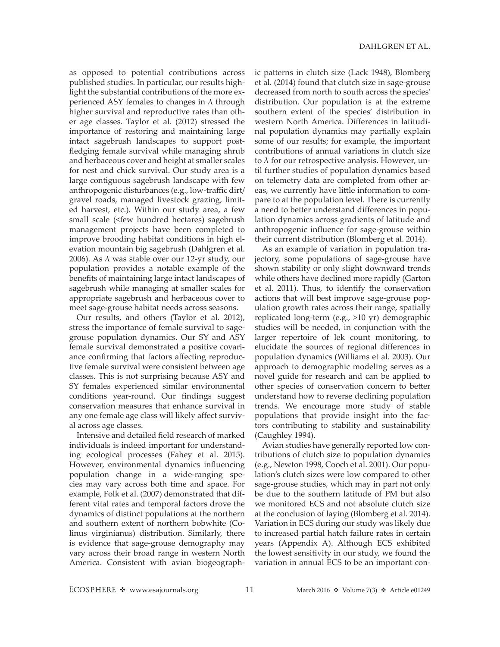as opposed to potential contributions across published studies. In particular, our results highlight the substantial contributions of the more experienced ASY females to changes in  $\lambda$  through higher survival and reproductive rates than other age classes. Taylor et al. (2012) stressed the importance of restoring and maintaining large intact sagebrush landscapes to support postfledging female survival while managing shrub and herbaceous cover and height at smaller scales for nest and chick survival. Our study area is a large contiguous sagebrush landscape with few anthropogenic disturbances (e.g., low-traffic dirt/ gravel roads, managed livestock grazing, limited harvest, etc.). Within our study area, a few small scale (<few hundred hectares) sagebrush management projects have been completed to improve brooding habitat conditions in high elevation mountain big sagebrush (Dahlgren et al. 2006). As  $\lambda$  was stable over our 12-yr study, our population provides a notable example of the benefits of maintaining large intact landscapes of sagebrush while managing at smaller scales for appropriate sagebrush and herbaceous cover to meet sage-grouse habitat needs across seasons.

Our results, and others (Taylor et al. 2012), stress the importance of female survival to sagegrouse population dynamics. Our SY and ASY female survival demonstrated a positive covariance confirming that factors affecting reproductive female survival were consistent between age classes. This is not surprising because ASY and SY females experienced similar environmental conditions year-round. Our findings suggest conservation measures that enhance survival in any one female age class will likely affect survival across age classes.

Intensive and detailed field research of marked individuals is indeed important for understanding ecological processes (Fahey et al. 2015). However, environmental dynamics influencing population change in a wide-ranging species may vary across both time and space. For example, Folk et al. (2007) demonstrated that different vital rates and temporal factors drove the dynamics of distinct populations at the northern and southern extent of northern bobwhite (Colinus virginianus) distribution. Similarly, there is evidence that sage-grouse demography may vary across their broad range in western North America. Consistent with avian biogeographic patterns in clutch size (Lack 1948), Blomberg et al. (2014) found that clutch size in sage-grouse decreased from north to south across the species' distribution. Our population is at the extreme southern extent of the species' distribution in western North America. Differences in latitudinal population dynamics may partially explain some of our results; for example, the important contributions of annual variations in clutch size to  $\lambda$  for our retrospective analysis. However, until further studies of population dynamics based on telemetry data are completed from other areas, we currently have little information to compare to at the population level. There is currently a need to better understand differences in population dynamics across gradients of latitude and anthropogenic influence for sage-grouse within their current distribution (Blomberg et al. 2014).

As an example of variation in population trajectory, some populations of sage-grouse have shown stability or only slight downward trends while others have declined more rapidly (Garton et al. 2011). Thus, to identify the conservation actions that will best improve sage-grouse population growth rates across their range, spatially replicated long-term (e.g., >10 yr) demographic studies will be needed, in conjunction with the larger repertoire of lek count monitoring, to elucidate the sources of regional differences in population dynamics (Williams et al. 2003). Our approach to demographic modeling serves as a novel guide for research and can be applied to other species of conservation concern to better understand how to reverse declining population trends. We encourage more study of stable populations that provide insight into the factors contributing to stability and sustainability (Caughley 1994).

Avian studies have generally reported low contributions of clutch size to population dynamics (e.g., Newton 1998, Cooch et al. 2001). Our population's clutch sizes were low compared to other sage-grouse studies, which may in part not only be due to the southern latitude of PM but also we monitored ECS and not absolute clutch size at the conclusion of laying (Blomberg et al. 2014). Variation in ECS during our study was likely due to increased partial hatch failure rates in certain years (Appendix A). Although ECS exhibited the lowest sensitivity in our study, we found the variation in annual ECS to be an important con-

ECOSPHERE  $\triangleleft$  www.esajournals.org 11 March 2016  $\triangleleft$  Volume 7(3)  $\triangleleft$  Article e01249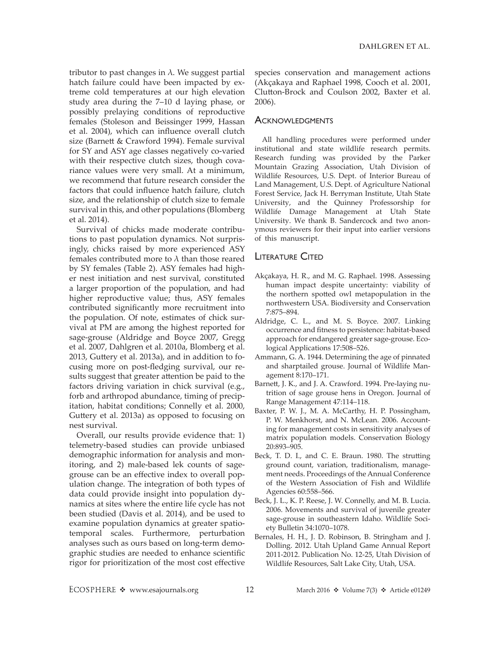tributor to past changes in  $\lambda$ . We suggest partial hatch failure could have been impacted by extreme cold temperatures at our high elevation study area during the 7–10 d laying phase, or possibly prelaying conditions of reproductive females (Stoleson and Beissinger 1999, Hassan et al. 2004), which can influence overall clutch size (Barnett & Crawford 1994). Female survival for SY and ASY age classes negatively co-varied with their respective clutch sizes, though covariance values were very small. At a minimum, we recommend that future research consider the factors that could influence hatch failure, clutch size, and the relationship of clutch size to female survival in this, and other populations (Blomberg et al. 2014).

Survival of chicks made moderate contributions to past population dynamics. Not surprisingly, chicks raised by more experienced ASY females contributed more to  $\lambda$  than those reared by SY females (Table 2). ASY females had higher nest initiation and nest survival, constituted a larger proportion of the population, and had higher reproductive value; thus, ASY females contributed significantly more recruitment into the population. Of note, estimates of chick survival at PM are among the highest reported for sage-grouse (Aldridge and Boyce 2007, Gregg et al. 2007, Dahlgren et al. 2010a, Blomberg et al. 2013, Guttery et al. 2013a), and in addition to focusing more on post-fledging survival, our results suggest that greater attention be paid to the factors driving variation in chick survival (e.g., forb and arthropod abundance, timing of precipitation, habitat conditions; Connelly et al. 2000, Guttery et al. 2013a) as opposed to focusing on nest survival.

Overall, our results provide evidence that: 1) telemetry-based studies can provide unbiased demographic information for analysis and monitoring, and 2) male-based lek counts of sagegrouse can be an effective index to overall population change. The integration of both types of data could provide insight into population dynamics at sites where the entire life cycle has not been studied (Davis et al. 2014), and be used to examine population dynamics at greater spatiotemporal scales. Furthermore, perturbation analyses such as ours based on long-term demographic studies are needed to enhance scientific rigor for prioritization of the most cost effective

species conservation and management actions (Akçakaya and Raphael 1998, Cooch et al. 2001, Clutton-Brock and Coulson 2002, Baxter et al. 2006).

## **ACKNOWLEDGMENTS**

All handling procedures were performed under institutional and state wildlife research permits. Research funding was provided by the Parker Mountain Grazing Association, Utah Division of Wildlife Resources, U.S. Dept. of Interior Bureau of Land Management, U.S. Dept. of Agriculture National Forest Service, Jack H. Berryman Institute, Utah State University, and the Quinney Professorship for Wildlife Damage Management at Utah State University. We thank B. Sandercock and two anonymous reviewers for their input into earlier versions of this manuscript.

## **LITERATURE CITED**

- Akçakaya, H. R., and M. G. Raphael. 1998. Assessing human impact despite uncertainty: viability of the northern spotted owl metapopulation in the northwestern USA. Biodiversity and Conservation 7:875–894.
- Aldridge, C. L., and M. S. Boyce. 2007. Linking occurrence and fitness to persistence: habitat-based approach for endangered greater sage-grouse. Ecological Applications 17:508–526.
- Ammann, G. A. 1944. Determining the age of pinnated and sharptailed grouse. Journal of Wildlife Management 8:170–171.
- Barnett, J. K., and J. A. Crawford. 1994. Pre-laying nutrition of sage grouse hens in Oregon. Journal of Range Management 47:114–118.
- Baxter, P. W. J., M. A. McCarthy, H. P. Possingham, P. W. Menkhorst, and N. McLean. 2006. Accounting for management costs in sensitivity analyses of matrix population models. Conservation Biology 20:893–905.
- Beck, T. D. I., and C. E. Braun. 1980. The strutting ground count, variation, traditionalism, management needs. Proceedings of the Annual Conference of the Western Association of Fish and Wildlife Agencies 60:558–566.
- Beck, J. L., K. P. Reese, J. W. Connelly, and M. B. Lucia. 2006. Movements and survival of juvenile greater sage-grouse in southeastern Idaho. Wildlife Society Bulletin 34:1070–1078.
- Bernales, H. H., J. D. Robinson, B. Stringham and J. Dolling. 2012. Utah Upland Game Annual Report 2011-2012. Publication No. 12-25, Utah Division of Wildlife Resources, Salt Lake City, Utah, USA.

ECOSPHERE  $\triangleleft$  www.esajournals.org 12 March 2016  $\triangleleft$  Volume 7(3)  $\triangleleft$  Article e01249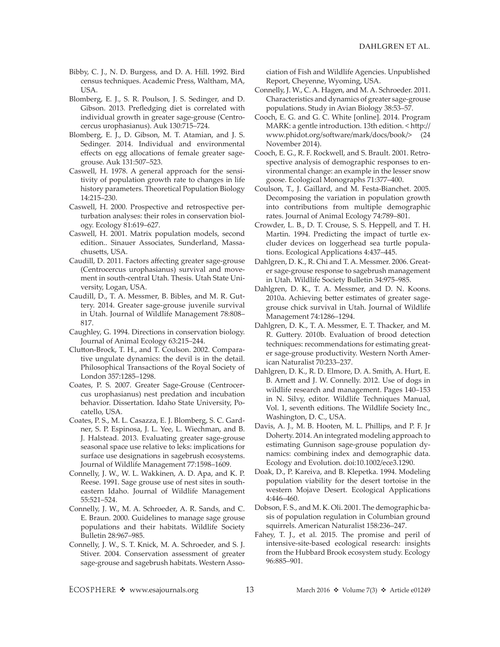- Bibby, C. J., N. D. Burgess, and D. A. Hill. 1992. Bird census techniques. Academic Press, Waltham, MA, USA.
- Blomberg, E. J., S. R. Poulson, J. S. Sedinger, and D. Gibson. 2013. Prefledging diet is correlated with individual growth in greater sage-grouse (Centrocercus urophasianus). Auk 130:715–724.
- Blomberg, E. J., D. Gibson, M. T. Atamian, and J. S. Sedinger. 2014. Individual and environmental effects on egg allocations of female greater sagegrouse. Auk 131:507–523.
- Caswell, H. 1978. A general approach for the sensitivity of population growth rate to changes in life history parameters. Theoretical Population Biology 14:215–230.
- Caswell, H. 2000. Prospective and retrospective perturbation analyses: their roles in conservation biology. Ecology 81:619–627.
- Caswell, H. 2001. Matrix population models, second edition.. Sinauer Associates, Sunderland, Massachusetts, USA.
- Caudill, D. 2011. Factors affecting greater sage-grouse (Centrocercus urophasianus) survival and movement in south-central Utah. Thesis. Utah State University, Logan, USA.
- Caudill, D., T. A. Messmer, B. Bibles, and M. R. Guttery. 2014. Greater sage-grouse juvenile survival in Utah. Journal of Wildlife Management 78:808– 817.
- Caughley, G. 1994. Directions in conservation biology. Journal of Animal Ecology 63:215–244.
- Clutton-Brock, T. H., and T. Coulson. 2002. Comparative ungulate dynamics: the devil is in the detail. Philosophical Transactions of the Royal Society of London 357:1285–1298.
- Coates, P. S. 2007. Greater Sage-Grouse (Centrocercus urophasianus) nest predation and incubation behavior. Dissertation. Idaho State University, Pocatello, USA.
- Coates, P. S., M. L. Casazza, E. J. Blomberg, S. C. Gardner, S. P. Espinosa, J. L. Yee, L. Wiechman, and B. J. Halstead. 2013. Evaluating greater sage-grouse seasonal space use relative to leks: implications for surface use designations in sagebrush ecosystems. Journal of Wildlife Management 77:1598–1609.
- Connelly, J. W., W. L. Wakkinen, A. D. Apa, and K. P. Reese. 1991. Sage grouse use of nest sites in southeastern Idaho. Journal of Wildlife Management 55:521–524.
- Connelly, J. W., M. A. Schroeder, A. R. Sands, and C. E. Braun. 2000. Guidelines to manage sage grouse populations and their habitats. Wildlife Society Bulletin 28:967–985.
- Connelly, J. W., S. T. Knick, M. A. Schroeder, and S. J. Stiver. 2004. Conservation assessment of greater sage-grouse and sagebrush habitats. Western Asso-

ciation of Fish and Wildlife Agencies. Unpublished Report, Cheyenne, Wyoming, USA.

- Connelly, J. W., C. A. Hagen, and M. A. Schroeder. 2011. Characteristics and dynamics of greater sage-grouse populations. Study in Avian Biology 38:53–57.
- Cooch, E. G. and G. C. White [online]. 2014. Program MARK: a gentle introduction. 13th edition. < [http://](http://www.phidot.org/software/mark/docs/book/%3e) [www.phidot.org/software/mark/docs/book/>](http://www.phidot.org/software/mark/docs/book/%3e) (24 November 2014).
- Cooch, E. G., R. F. Rockwell, and S. Brault. 2001. Retrospective analysis of demographic responses to environmental change: an example in the lesser snow goose. Ecological Monographs 71:377–400.
- Coulson, T., J. Gaillard, and M. Festa-Bianchet. 2005. Decomposing the variation in population growth into contributions from multiple demographic rates. Journal of Animal Ecology 74:789–801.
- Crowder, L. B., D. T. Crouse, S. S. Heppell, and T. H. Martin. 1994. Predicting the impact of turtle excluder devices on loggerhead sea turtle populations. Ecological Applications 4:437–445.
- Dahlgren, D. K., R. Chi and T. A. Messmer. 2006. Greater sage-grouse response to sagebrush management in Utah. Wildlife Society Bulletin 34:975–985.
- Dahlgren, D. K., T. A. Messmer, and D. N. Koons. 2010a. Achieving better estimates of greater sagegrouse chick survival in Utah. Journal of Wildlife Management 74:1286–1294.
- Dahlgren, D. K., T. A. Messmer, E. T. Thacker, and M. R. Guttery. 2010b. Evaluation of brood detection techniques: recommendations for estimating greater sage-grouse productivity. Western North American Naturalist 70:233–237.
- Dahlgren, D. K., R. D. Elmore, D. A. Smith, A. Hurt, E. B. Arnett and J. W. Connelly. 2012. Use of dogs in wildlife research and management. Pages 140–153 in N. Silvy, editor. Wildlife Techniques Manual, Vol. 1, seventh editions. The Wildlife Society Inc., Washington, D. C., USA.
- Davis, A. J., M. B. Hooten, M. L. Phillips, and P. F. Jr Doherty. 2014. An integrated modeling approach to estimating Gunnison sage-grouse population dynamics: combining index and demographic data. Ecology and Evolution. doi:10.1002/ece3.1290.
- Doak, D., P. Kareiva, and B. Klepetka. 1994. Modeling population viability for the desert tortoise in the western Mojave Desert. Ecological Applications 4:446–460.
- Dobson, F. S., and M. K. Oli. 2001. The demographic basis of population regulation in Columbian ground squirrels. American Naturalist 158:236–247.
- Fahey, T. J., et al. 2015. The promise and peril of intensive-site-based ecological research: insights from the Hubbard Brook ecosystem study. Ecology 96:885–901.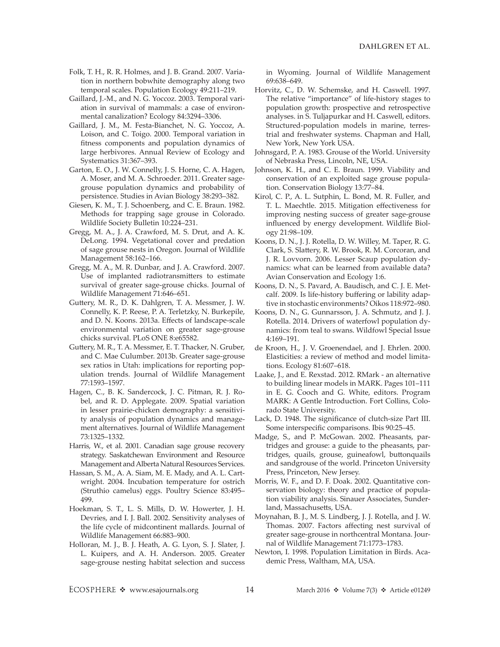- Folk, T. H., R. R. Holmes, and J. B. Grand. 2007. Variation in northern bobwhite demography along two temporal scales. Population Ecology 49:211–219.
- Gaillard, J.-M., and N. G. Yoccoz. 2003. Temporal variation in survival of mammals: a case of environmental canalization? Ecology 84:3294–3306.
- Gaillard, J. M., M. Festa-Bianchet, N. G. Yoccoz, A. Loison, and C. Toigo. 2000. Temporal variation in fitness components and population dynamics of large herbivores. Annual Review of Ecology and Systematics 31:367–393.
- Garton, E. O., J. W. Connelly, J. S. Horne, C. A. Hagen, A. Moser, and M. A. Schroeder. 2011. Greater sagegrouse population dynamics and probability of persistence. Studies in Avian Biology 38:293–382.
- Giesen, K. M., T. J. Schoenberg, and C. E. Braun. 1982. Methods for trapping sage grouse in Colorado. Wildlife Society Bulletin 10:224–231.
- Gregg, M. A., J. A. Crawford, M. S. Drut, and A. K. DeLong. 1994. Vegetational cover and predation of sage grouse nests in Oregon. Journal of Wildlife Management 58:162–166.
- Gregg, M. A., M. R. Dunbar, and J. A. Crawford. 2007. Use of implanted radiotransmitters to estimate survival of greater sage-grouse chicks. Journal of Wildlife Management 71:646–651.
- Guttery, M. R., D. K. Dahlgren, T. A. Messmer, J. W. Connelly, K. P. Reese, P. A. Terletzky, N. Burkepile, and D. N. Koons. 2013a. Effects of landscape-scale environmental variation on greater sage-grouse chicks survival. PLoS ONE 8:e65582.
- Guttery, M. R., T. A. Messmer, E. T. Thacker, N. Gruber, and C. Mae Culumber. 2013b. Greater sage-grouse sex ratios in Utah: implications for reporting population trends. Journal of Wildlife Management 77:1593–1597.
- Hagen, C., B. K. Sandercock, J. C. Pitman, R. J. Robel, and R. D. Applegate. 2009. Spatial variation in lesser prairie-chicken demography: a sensitivity analysis of population dynamics and management alternatives. Journal of Wildlife Management 73:1325–1332.
- Harris, W., et al. 2001. Canadian sage grouse recovery strategy. Saskatchewan Environment and Resource Management and Alberta Natural Resources Services.
- Hassan, S. M., A. A. Siam, M. E. Mady, and A. L. Cartwright. 2004. Incubation temperature for ostrich (Struthio camelus) eggs. Poultry Science 83:495– 499.
- Hoekman, S. T., L. S. Mills, D. W. Howerter, J. H. Devries, and I. J. Ball. 2002. Sensitivity analyses of the life cycle of midcontinent mallards. Journal of Wildlife Management 66:883–900.
- Holloran, M. J., B. J. Heath, A. G. Lyon, S. J. Slater, J. L. Kuipers, and A. H. Anderson. 2005. Greater sage-grouse nesting habitat selection and success

in Wyoming. Journal of Wildlife Management 69:638–649.

- Horvitz, C., D. W. Schemske, and H. Caswell. 1997. The relative "importance" of life-history stages to population growth: prospective and retrospective analyses. in S. Tuljapurkar and H. Caswell, editors. Structured-population models in marine, terrestrial and freshwater systems. Chapman and Hall, New York, New York USA.
- Johnsgard, P. A. 1983. Grouse of the World. University of Nebraska Press, Lincoln, NE, USA.
- Johnson, K. H., and C. E. Braun. 1999. Viability and conservation of an exploited sage grouse population. Conservation Biology 13:77–84.
- Kirol, C. P., A. L. Sutphin, L. Bond, M. R. Fuller, and T. L. Maechtle. 2015. Mitigation effectiveness for improving nesting success of greater sage-grouse influenced by energy development. Wildlife Biology 21:98–109.
- Koons, D. N., J. J. Rotella, D. W. Willey, M. Taper, R. G. Clark, S. Slattery, R. W. Brook, R. M. Corcoran, and J. R. Lovvorn. 2006. Lesser Scaup population dynamics: what can be learned from available data? Avian Conservation and Ecology 1:6.
- Koons, D. N., S. Pavard, A. Baudisch, and C. J. E. Metcalf. 2009. Is life-history buffering or lability adaptive in stochastic environments? Oikos 118:972–980.
- Koons, D. N., G. Gunnarsson, J. A. Schmutz, and J. J. Rotella. 2014. Drivers of waterfowl population dynamics: from teal to swans. Wildfowl Special Issue 4:169–191.
- de Kroon, H., J. V. Groenendael, and J. Ehrlen. 2000. Elasticities: a review of method and model limitations. Ecology 81:607–618.
- Laake, J., and E. Rexstad. 2012. RMark an alternative to building linear models in MARK. Pages 101–111 in E. G. Cooch and G. White, editors. Program MARK: A Gentle Introduction. Fort Collins, Colorado State University.
- Lack, D. 1948. The significance of clutch-size Part III. Some interspecific comparisons. Ibis 90:25–45.
- Madge, S., and P. McGowan. 2002. Pheasants, partridges and grouse: a guide to the pheasants, partridges, quails, grouse, guineafowl, buttonquails and sandgrouse of the world. Princeton University Press, Princeton, New Jersey.
- Morris, W. F., and D. F. Doak. 2002. Quantitative conservation biology: theory and practice of population viability analysis. Sinauer Associates, Sunderland, Massachusetts, USA.
- Moynahan, B. J., M. S. Lindberg, J. J. Rotella, and J. W. Thomas. 2007. Factors affecting nest survival of greater sage-grouse in northcentral Montana. Journal of Wildlife Management 71:1773–1783.
- Newton, I. 1998. Population Limitation in Birds. Academic Press, Waltham, MA, USA.

ECOSPHERE  $\triangleleft$  www.esajournals.org 14 March 2016  $\triangleleft$  Volume 7(3)  $\triangleleft$  Article e01249